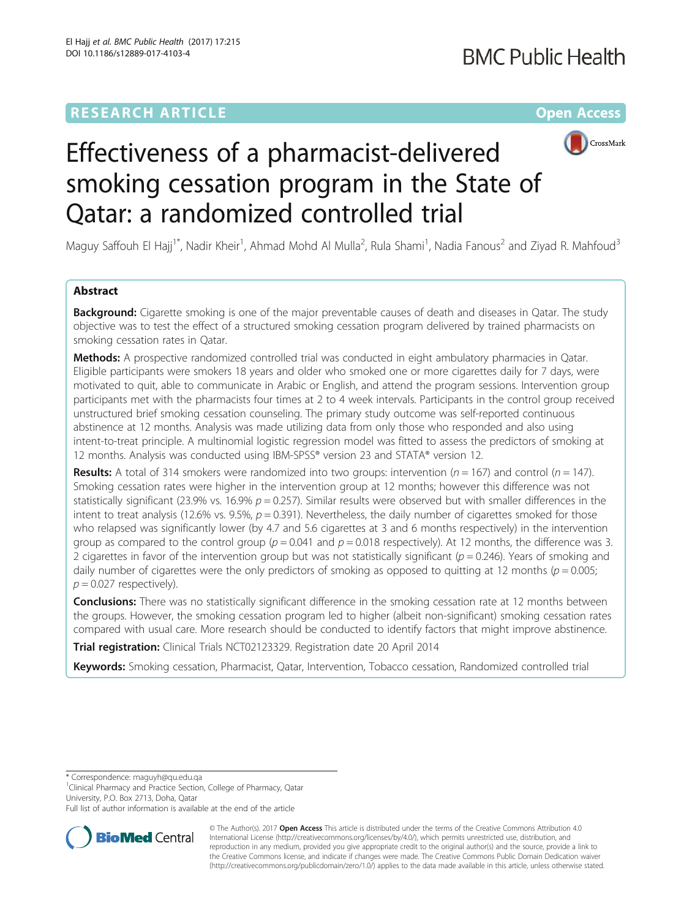## **RESEARCH ARTICLE Example 2014 12:30 The Community Community Community Community Community Community Community**



# Effectiveness of a pharmacist-delivered smoking cessation program in the State of Qatar: a randomized controlled trial

Maguy Saffouh El Hajj<sup>1\*</sup>, Nadir Kheir<sup>1</sup>, Ahmad Mohd Al Mulla<sup>2</sup>, Rula Shami<sup>1</sup>, Nadia Fanous<sup>2</sup> and Ziyad R. Mahfoud<sup>3</sup>

### Abstract

**Background:** Cigarette smoking is one of the major preventable causes of death and diseases in Qatar. The study objective was to test the effect of a structured smoking cessation program delivered by trained pharmacists on smoking cessation rates in Qatar.

Methods: A prospective randomized controlled trial was conducted in eight ambulatory pharmacies in Qatar. Eligible participants were smokers 18 years and older who smoked one or more cigarettes daily for 7 days, were motivated to quit, able to communicate in Arabic or English, and attend the program sessions. Intervention group participants met with the pharmacists four times at 2 to 4 week intervals. Participants in the control group received unstructured brief smoking cessation counseling. The primary study outcome was self-reported continuous abstinence at 12 months. Analysis was made utilizing data from only those who responded and also using intent-to-treat principle. A multinomial logistic regression model was fitted to assess the predictors of smoking at 12 months. Analysis was conducted using IBM-SPSS® version 23 and STATA® version 12.

**Results:** A total of 314 smokers were randomized into two groups: intervention ( $n = 167$ ) and control ( $n = 147$ ). Smoking cessation rates were higher in the intervention group at 12 months; however this difference was not statistically significant (23.9% vs. 16.9%  $p = 0.257$ ). Similar results were observed but with smaller differences in the intent to treat analysis (12.6% vs. 9.5%,  $p = 0.391$ ). Nevertheless, the daily number of cigarettes smoked for those who relapsed was significantly lower (by 4.7 and 5.6 cigarettes at 3 and 6 months respectively) in the intervention group as compared to the control group ( $p = 0.041$  and  $p = 0.018$  respectively). At 12 months, the difference was 3. 2 cigarettes in favor of the intervention group but was not statistically significant ( $p = 0.246$ ). Years of smoking and daily number of cigarettes were the only predictors of smoking as opposed to quitting at 12 months ( $p = 0.005$ ;  $p = 0.027$  respectively).

**Conclusions:** There was no statistically significant difference in the smoking cessation rate at 12 months between the groups. However, the smoking cessation program led to higher (albeit non-significant) smoking cessation rates compared with usual care. More research should be conducted to identify factors that might improve abstinence.

Trial registration: Clinical Trials [NCT02123329](https://clinicaltrials.gov/ct2/show/NCT02123329). Registration date 20 April 2014

Keywords: Smoking cessation, Pharmacist, Qatar, Intervention, Tobacco cessation, Randomized controlled trial

\* Correspondence: [maguyh@qu.edu.qa](mailto:maguyh@qu.edu.qa)

<sup>1</sup>Clinical Pharmacy and Practice Section, College of Pharmacy, Qatar University, P.O. Box 2713, Doha, Qatar

Full list of author information is available at the end of the article



© The Author(s). 2017 **Open Access** This article is distributed under the terms of the Creative Commons Attribution 4.0 International License [\(http://creativecommons.org/licenses/by/4.0/](http://creativecommons.org/licenses/by/4.0/)), which permits unrestricted use, distribution, and reproduction in any medium, provided you give appropriate credit to the original author(s) and the source, provide a link to the Creative Commons license, and indicate if changes were made. The Creative Commons Public Domain Dedication waiver [\(http://creativecommons.org/publicdomain/zero/1.0/](http://creativecommons.org/publicdomain/zero/1.0/)) applies to the data made available in this article, unless otherwise stated.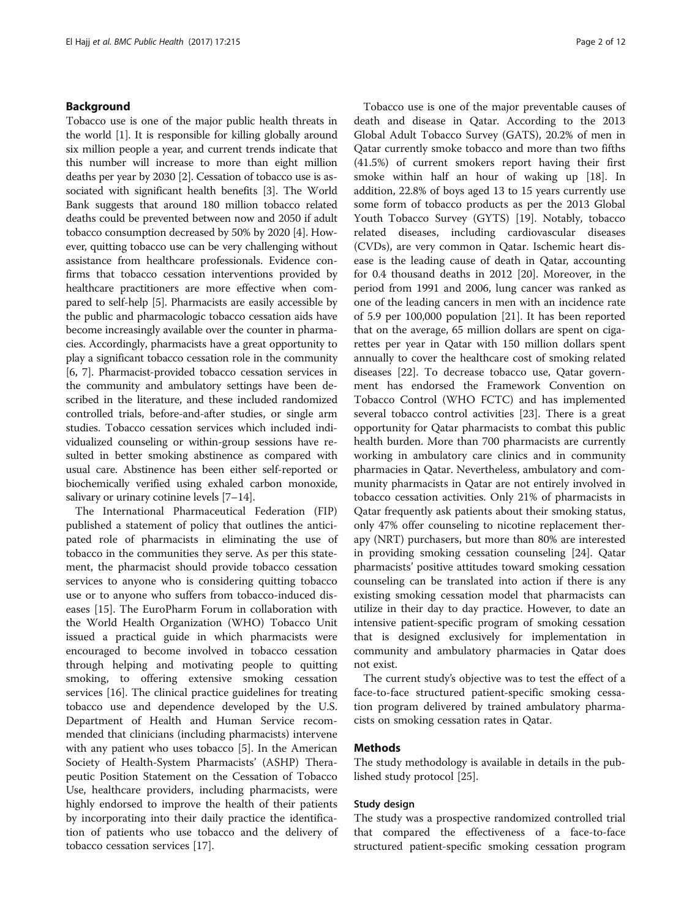#### Background

Tobacco use is one of the major public health threats in the world [[1](#page-11-0)]. It is responsible for killing globally around six million people a year, and current trends indicate that this number will increase to more than eight million deaths per year by 2030 [[2](#page-11-0)]. Cessation of tobacco use is associated with significant health benefits [\[3](#page-11-0)]. The World Bank suggests that around 180 million tobacco related deaths could be prevented between now and 2050 if adult tobacco consumption decreased by 50% by 2020 [\[4](#page-11-0)]. However, quitting tobacco use can be very challenging without assistance from healthcare professionals. Evidence confirms that tobacco cessation interventions provided by healthcare practitioners are more effective when compared to self-help [[5\]](#page-11-0). Pharmacists are easily accessible by the public and pharmacologic tobacco cessation aids have become increasingly available over the counter in pharmacies. Accordingly, pharmacists have a great opportunity to play a significant tobacco cessation role in the community [[6, 7\]](#page-11-0). Pharmacist-provided tobacco cessation services in the community and ambulatory settings have been described in the literature, and these included randomized controlled trials, before-and-after studies, or single arm studies. Tobacco cessation services which included individualized counseling or within-group sessions have resulted in better smoking abstinence as compared with usual care. Abstinence has been either self-reported or biochemically verified using exhaled carbon monoxide, salivary or urinary cotinine levels [\[7](#page-11-0)–[14](#page-11-0)].

The International Pharmaceutical Federation (FIP) published a statement of policy that outlines the anticipated role of pharmacists in eliminating the use of tobacco in the communities they serve. As per this statement, the pharmacist should provide tobacco cessation services to anyone who is considering quitting tobacco use or to anyone who suffers from tobacco-induced diseases [\[15](#page-11-0)]. The EuroPharm Forum in collaboration with the World Health Organization (WHO) Tobacco Unit issued a practical guide in which pharmacists were encouraged to become involved in tobacco cessation through helping and motivating people to quitting smoking, to offering extensive smoking cessation services [[16\]](#page-11-0). The clinical practice guidelines for treating tobacco use and dependence developed by the U.S. Department of Health and Human Service recommended that clinicians (including pharmacists) intervene with any patient who uses tobacco [[5\]](#page-11-0). In the American Society of Health-System Pharmacists' (ASHP) Therapeutic Position Statement on the Cessation of Tobacco Use, healthcare providers, including pharmacists, were highly endorsed to improve the health of their patients by incorporating into their daily practice the identification of patients who use tobacco and the delivery of tobacco cessation services [\[17](#page-11-0)].

Tobacco use is one of the major preventable causes of death and disease in Qatar. According to the 2013 Global Adult Tobacco Survey (GATS), 20.2% of men in Qatar currently smoke tobacco and more than two fifths (41.5%) of current smokers report having their first smoke within half an hour of waking up [[18\]](#page-11-0). In addition, 22.8% of boys aged 13 to 15 years currently use some form of tobacco products as per the 2013 Global Youth Tobacco Survey (GYTS) [\[19\]](#page-11-0). Notably, tobacco related diseases, including cardiovascular diseases (CVDs), are very common in Qatar. Ischemic heart disease is the leading cause of death in Qatar, accounting for 0.4 thousand deaths in 2012 [\[20](#page-11-0)]. Moreover, in the period from 1991 and 2006, lung cancer was ranked as one of the leading cancers in men with an incidence rate of 5.9 per 100,000 population [[21\]](#page-11-0). It has been reported that on the average, 65 million dollars are spent on cigarettes per year in Qatar with 150 million dollars spent annually to cover the healthcare cost of smoking related diseases [\[22](#page-11-0)]. To decrease tobacco use, Qatar government has endorsed the Framework Convention on Tobacco Control (WHO FCTC) and has implemented several tobacco control activities [\[23](#page-11-0)]. There is a great opportunity for Qatar pharmacists to combat this public health burden. More than 700 pharmacists are currently working in ambulatory care clinics and in community pharmacies in Qatar. Nevertheless, ambulatory and community pharmacists in Qatar are not entirely involved in tobacco cessation activities. Only 21% of pharmacists in Qatar frequently ask patients about their smoking status, only 47% offer counseling to nicotine replacement therapy (NRT) purchasers, but more than 80% are interested in providing smoking cessation counseling [\[24\]](#page-11-0). Qatar pharmacists' positive attitudes toward smoking cessation counseling can be translated into action if there is any existing smoking cessation model that pharmacists can utilize in their day to day practice. However, to date an intensive patient-specific program of smoking cessation that is designed exclusively for implementation in community and ambulatory pharmacies in Qatar does not exist.

The current study's objective was to test the effect of a face-to-face structured patient-specific smoking cessation program delivered by trained ambulatory pharmacists on smoking cessation rates in Qatar.

#### Methods

The study methodology is available in details in the published study protocol [[25\]](#page-11-0).

#### Study design

The study was a prospective randomized controlled trial that compared the effectiveness of a face-to-face structured patient-specific smoking cessation program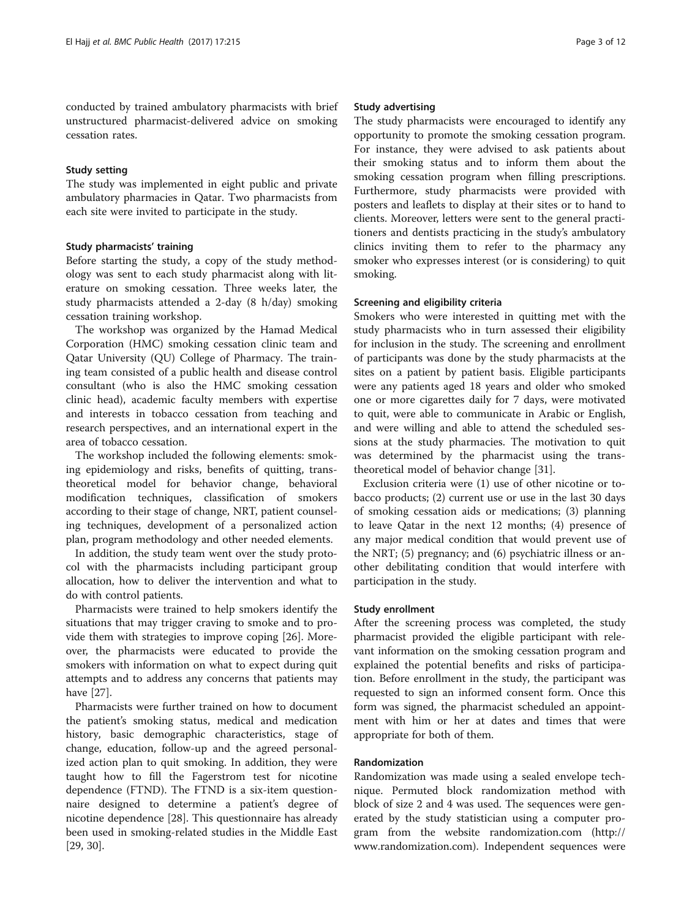conducted by trained ambulatory pharmacists with brief unstructured pharmacist-delivered advice on smoking cessation rates.

#### Study setting

The study was implemented in eight public and private ambulatory pharmacies in Qatar. Two pharmacists from each site were invited to participate in the study.

#### Study pharmacists' training

Before starting the study, a copy of the study methodology was sent to each study pharmacist along with literature on smoking cessation. Three weeks later, the study pharmacists attended a 2-day (8 h/day) smoking cessation training workshop.

The workshop was organized by the Hamad Medical Corporation (HMC) smoking cessation clinic team and Qatar University (QU) College of Pharmacy. The training team consisted of a public health and disease control consultant (who is also the HMC smoking cessation clinic head), academic faculty members with expertise and interests in tobacco cessation from teaching and research perspectives, and an international expert in the area of tobacco cessation.

The workshop included the following elements: smoking epidemiology and risks, benefits of quitting, transtheoretical model for behavior change, behavioral modification techniques, classification of smokers according to their stage of change, NRT, patient counseling techniques, development of a personalized action plan, program methodology and other needed elements.

In addition, the study team went over the study protocol with the pharmacists including participant group allocation, how to deliver the intervention and what to do with control patients.

Pharmacists were trained to help smokers identify the situations that may trigger craving to smoke and to provide them with strategies to improve coping [\[26\]](#page-11-0). Moreover, the pharmacists were educated to provide the smokers with information on what to expect during quit attempts and to address any concerns that patients may have [\[27](#page-11-0)].

Pharmacists were further trained on how to document the patient's smoking status, medical and medication history, basic demographic characteristics, stage of change, education, follow-up and the agreed personalized action plan to quit smoking. In addition, they were taught how to fill the Fagerstrom test for nicotine dependence (FTND). The FTND is a six-item questionnaire designed to determine a patient's degree of nicotine dependence [\[28](#page-11-0)]. This questionnaire has already been used in smoking-related studies in the Middle East [[29, 30\]](#page-11-0).

#### Study advertising

The study pharmacists were encouraged to identify any opportunity to promote the smoking cessation program. For instance, they were advised to ask patients about their smoking status and to inform them about the smoking cessation program when filling prescriptions. Furthermore, study pharmacists were provided with posters and leaflets to display at their sites or to hand to clients. Moreover, letters were sent to the general practitioners and dentists practicing in the study's ambulatory clinics inviting them to refer to the pharmacy any smoker who expresses interest (or is considering) to quit smoking.

#### Screening and eligibility criteria

Smokers who were interested in quitting met with the study pharmacists who in turn assessed their eligibility for inclusion in the study. The screening and enrollment of participants was done by the study pharmacists at the sites on a patient by patient basis. Eligible participants were any patients aged 18 years and older who smoked one or more cigarettes daily for 7 days, were motivated to quit, were able to communicate in Arabic or English, and were willing and able to attend the scheduled sessions at the study pharmacies. The motivation to quit was determined by the pharmacist using the transtheoretical model of behavior change [\[31\]](#page-11-0).

Exclusion criteria were (1) use of other nicotine or tobacco products; (2) current use or use in the last 30 days of smoking cessation aids or medications; (3) planning to leave Qatar in the next 12 months; (4) presence of any major medical condition that would prevent use of the NRT; (5) pregnancy; and (6) psychiatric illness or another debilitating condition that would interfere with participation in the study.

#### Study enrollment

After the screening process was completed, the study pharmacist provided the eligible participant with relevant information on the smoking cessation program and explained the potential benefits and risks of participation. Before enrollment in the study, the participant was requested to sign an informed consent form. Once this form was signed, the pharmacist scheduled an appointment with him or her at dates and times that were appropriate for both of them.

#### Randomization

Randomization was made using a sealed envelope technique. Permuted block randomization method with block of size 2 and 4 was used. The sequences were generated by the study statistician using a computer program from the website randomization.com [\(http://](http://www.randomization.com/) [www.randomization.com\)](http://www.randomization.com/). Independent sequences were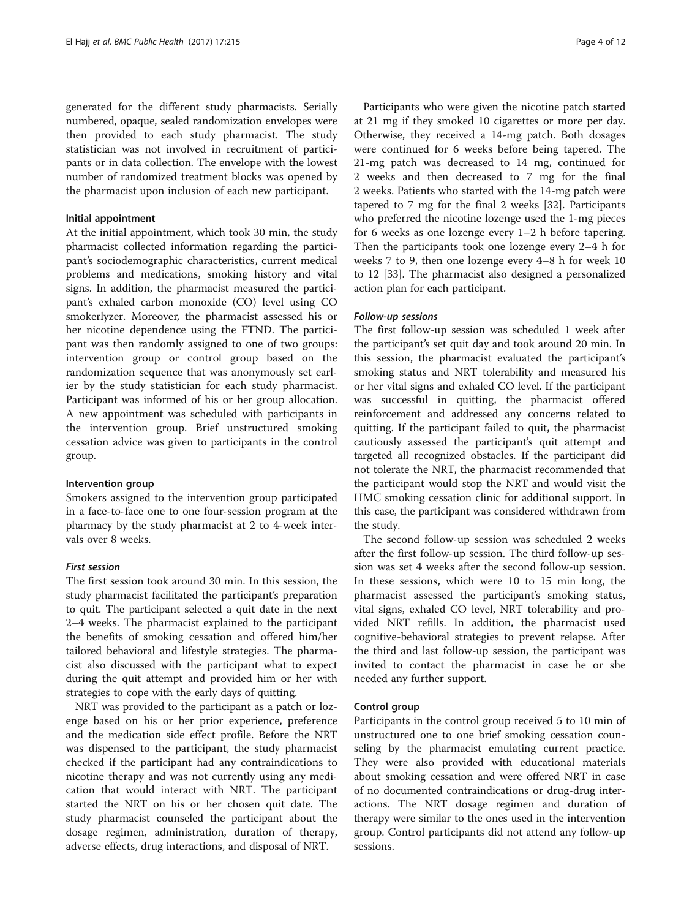generated for the different study pharmacists. Serially numbered, opaque, sealed randomization envelopes were then provided to each study pharmacist. The study statistician was not involved in recruitment of participants or in data collection. The envelope with the lowest number of randomized treatment blocks was opened by the pharmacist upon inclusion of each new participant.

#### Initial appointment

At the initial appointment, which took 30 min, the study pharmacist collected information regarding the participant's sociodemographic characteristics, current medical problems and medications, smoking history and vital signs. In addition, the pharmacist measured the participant's exhaled carbon monoxide (CO) level using CO smokerlyzer. Moreover, the pharmacist assessed his or her nicotine dependence using the FTND. The participant was then randomly assigned to one of two groups: intervention group or control group based on the randomization sequence that was anonymously set earlier by the study statistician for each study pharmacist. Participant was informed of his or her group allocation. A new appointment was scheduled with participants in the intervention group. Brief unstructured smoking cessation advice was given to participants in the control group.

#### Intervention group

Smokers assigned to the intervention group participated in a face-to-face one to one four-session program at the pharmacy by the study pharmacist at 2 to 4-week intervals over 8 weeks.

#### First session

The first session took around 30 min. In this session, the study pharmacist facilitated the participant's preparation to quit. The participant selected a quit date in the next 2–4 weeks. The pharmacist explained to the participant the benefits of smoking cessation and offered him/her tailored behavioral and lifestyle strategies. The pharmacist also discussed with the participant what to expect during the quit attempt and provided him or her with strategies to cope with the early days of quitting.

NRT was provided to the participant as a patch or lozenge based on his or her prior experience, preference and the medication side effect profile. Before the NRT was dispensed to the participant, the study pharmacist checked if the participant had any contraindications to nicotine therapy and was not currently using any medication that would interact with NRT. The participant started the NRT on his or her chosen quit date. The study pharmacist counseled the participant about the dosage regimen, administration, duration of therapy, adverse effects, drug interactions, and disposal of NRT.

Participants who were given the nicotine patch started at 21 mg if they smoked 10 cigarettes or more per day. Otherwise, they received a 14-mg patch. Both dosages were continued for 6 weeks before being tapered. The 21-mg patch was decreased to 14 mg, continued for 2 weeks and then decreased to 7 mg for the final 2 weeks. Patients who started with the 14-mg patch were tapered to 7 mg for the final 2 weeks [\[32\]](#page-11-0). Participants who preferred the nicotine lozenge used the 1-mg pieces for 6 weeks as one lozenge every 1–2 h before tapering. Then the participants took one lozenge every 2–4 h for weeks 7 to 9, then one lozenge every 4–8 h for week 10 to 12 [\[33](#page-11-0)]. The pharmacist also designed a personalized action plan for each participant.

#### Follow-up sessions

The first follow-up session was scheduled 1 week after the participant's set quit day and took around 20 min. In this session, the pharmacist evaluated the participant's smoking status and NRT tolerability and measured his or her vital signs and exhaled CO level. If the participant was successful in quitting, the pharmacist offered reinforcement and addressed any concerns related to quitting. If the participant failed to quit, the pharmacist cautiously assessed the participant's quit attempt and targeted all recognized obstacles. If the participant did not tolerate the NRT, the pharmacist recommended that the participant would stop the NRT and would visit the HMC smoking cessation clinic for additional support. In this case, the participant was considered withdrawn from the study.

The second follow-up session was scheduled 2 weeks after the first follow-up session. The third follow-up session was set 4 weeks after the second follow-up session. In these sessions, which were 10 to 15 min long, the pharmacist assessed the participant's smoking status, vital signs, exhaled CO level, NRT tolerability and provided NRT refills. In addition, the pharmacist used cognitive-behavioral strategies to prevent relapse. After the third and last follow-up session, the participant was invited to contact the pharmacist in case he or she needed any further support.

#### Control group

Participants in the control group received 5 to 10 min of unstructured one to one brief smoking cessation counseling by the pharmacist emulating current practice. They were also provided with educational materials about smoking cessation and were offered NRT in case of no documented contraindications or drug-drug interactions. The NRT dosage regimen and duration of therapy were similar to the ones used in the intervention group. Control participants did not attend any follow-up sessions.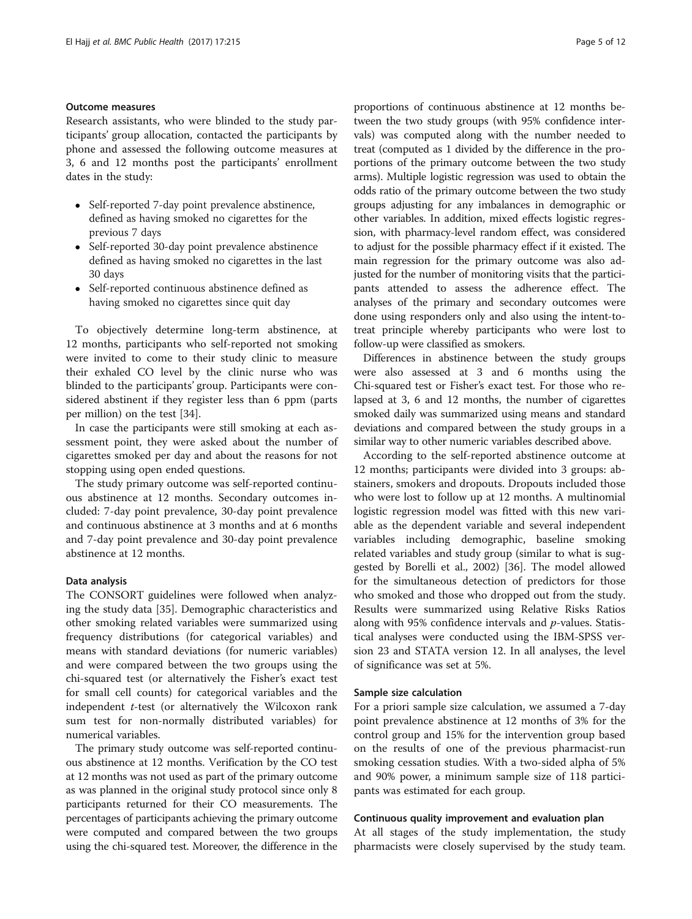#### Outcome measures

Research assistants, who were blinded to the study participants' group allocation, contacted the participants by phone and assessed the following outcome measures at 3, 6 and 12 months post the participants' enrollment dates in the study:

- Self-reported 7-day point prevalence abstinence, defined as having smoked no cigarettes for the previous 7 days
- Self-reported 30-day point prevalence abstinence defined as having smoked no cigarettes in the last 30 days
- Self-reported continuous abstinence defined as having smoked no cigarettes since quit day

To objectively determine long-term abstinence, at 12 months, participants who self-reported not smoking were invited to come to their study clinic to measure their exhaled CO level by the clinic nurse who was blinded to the participants' group. Participants were considered abstinent if they register less than 6 ppm (parts per million) on the test [[34\]](#page-11-0).

In case the participants were still smoking at each assessment point, they were asked about the number of cigarettes smoked per day and about the reasons for not stopping using open ended questions.

The study primary outcome was self-reported continuous abstinence at 12 months. Secondary outcomes included: 7-day point prevalence, 30-day point prevalence and continuous abstinence at 3 months and at 6 months and 7-day point prevalence and 30-day point prevalence abstinence at 12 months.

#### Data analysis

The CONSORT guidelines were followed when analyzing the study data [\[35](#page-11-0)]. Demographic characteristics and other smoking related variables were summarized using frequency distributions (for categorical variables) and means with standard deviations (for numeric variables) and were compared between the two groups using the chi-squared test (or alternatively the Fisher's exact test for small cell counts) for categorical variables and the independent t-test (or alternatively the Wilcoxon rank sum test for non-normally distributed variables) for numerical variables.

The primary study outcome was self-reported continuous abstinence at 12 months. Verification by the CO test at 12 months was not used as part of the primary outcome as was planned in the original study protocol since only 8 participants returned for their CO measurements. The percentages of participants achieving the primary outcome were computed and compared between the two groups using the chi-squared test. Moreover, the difference in the proportions of continuous abstinence at 12 months between the two study groups (with 95% confidence intervals) was computed along with the number needed to treat (computed as 1 divided by the difference in the proportions of the primary outcome between the two study arms). Multiple logistic regression was used to obtain the odds ratio of the primary outcome between the two study groups adjusting for any imbalances in demographic or other variables. In addition, mixed effects logistic regression, with pharmacy-level random effect, was considered to adjust for the possible pharmacy effect if it existed. The main regression for the primary outcome was also adjusted for the number of monitoring visits that the participants attended to assess the adherence effect. The analyses of the primary and secondary outcomes were done using responders only and also using the intent-totreat principle whereby participants who were lost to follow-up were classified as smokers.

Differences in abstinence between the study groups were also assessed at 3 and 6 months using the Chi-squared test or Fisher's exact test. For those who relapsed at 3, 6 and 12 months, the number of cigarettes smoked daily was summarized using means and standard deviations and compared between the study groups in a similar way to other numeric variables described above.

According to the self-reported abstinence outcome at 12 months; participants were divided into 3 groups: abstainers, smokers and dropouts. Dropouts included those who were lost to follow up at 12 months. A multinomial logistic regression model was fitted with this new variable as the dependent variable and several independent variables including demographic, baseline smoking related variables and study group (similar to what is suggested by Borelli et al., 2002) [[36](#page-11-0)]. The model allowed for the simultaneous detection of predictors for those who smoked and those who dropped out from the study. Results were summarized using Relative Risks Ratios along with 95% confidence intervals and p-values. Statistical analyses were conducted using the IBM-SPSS version 23 and STATA version 12. In all analyses, the level of significance was set at 5%.

#### Sample size calculation

For a priori sample size calculation, we assumed a 7-day point prevalence abstinence at 12 months of 3% for the control group and 15% for the intervention group based on the results of one of the previous pharmacist-run smoking cessation studies. With a two-sided alpha of 5% and 90% power, a minimum sample size of 118 participants was estimated for each group.

#### Continuous quality improvement and evaluation plan

At all stages of the study implementation, the study pharmacists were closely supervised by the study team.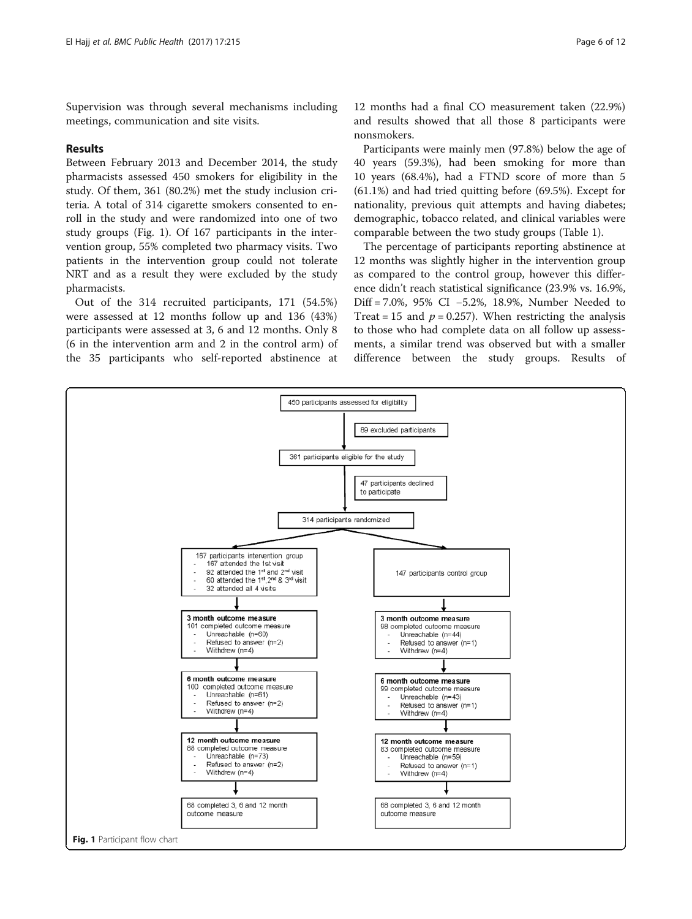Supervision was through several mechanisms including meetings, communication and site visits.

#### Results

Between February 2013 and December 2014, the study pharmacists assessed 450 smokers for eligibility in the study. Of them, 361 (80.2%) met the study inclusion criteria. A total of 314 cigarette smokers consented to enroll in the study and were randomized into one of two study groups (Fig. 1). Of 167 participants in the intervention group, 55% completed two pharmacy visits. Two patients in the intervention group could not tolerate NRT and as a result they were excluded by the study pharmacists.

Out of the 314 recruited participants, 171 (54.5%) were assessed at 12 months follow up and 136 (43%) participants were assessed at 3, 6 and 12 months. Only 8 (6 in the intervention arm and 2 in the control arm) of the 35 participants who self-reported abstinence at

12 months had a final CO measurement taken (22.9%) and results showed that all those 8 participants were nonsmokers.

Participants were mainly men (97.8%) below the age of 40 years (59.3%), had been smoking for more than 10 years (68.4%), had a FTND score of more than 5 (61.1%) and had tried quitting before (69.5%). Except for nationality, previous quit attempts and having diabetes; demographic, tobacco related, and clinical variables were comparable between the two study groups (Table [1](#page-6-0)).

The percentage of participants reporting abstinence at 12 months was slightly higher in the intervention group as compared to the control group, however this difference didn't reach statistical significance (23.9% vs. 16.9%, Diff = 7.0%, 95% CI −5.2%, 18.9%, Number Needed to Treat = 15 and  $p = 0.257$ ). When restricting the analysis to those who had complete data on all follow up assessments, a similar trend was observed but with a smaller difference between the study groups. Results of

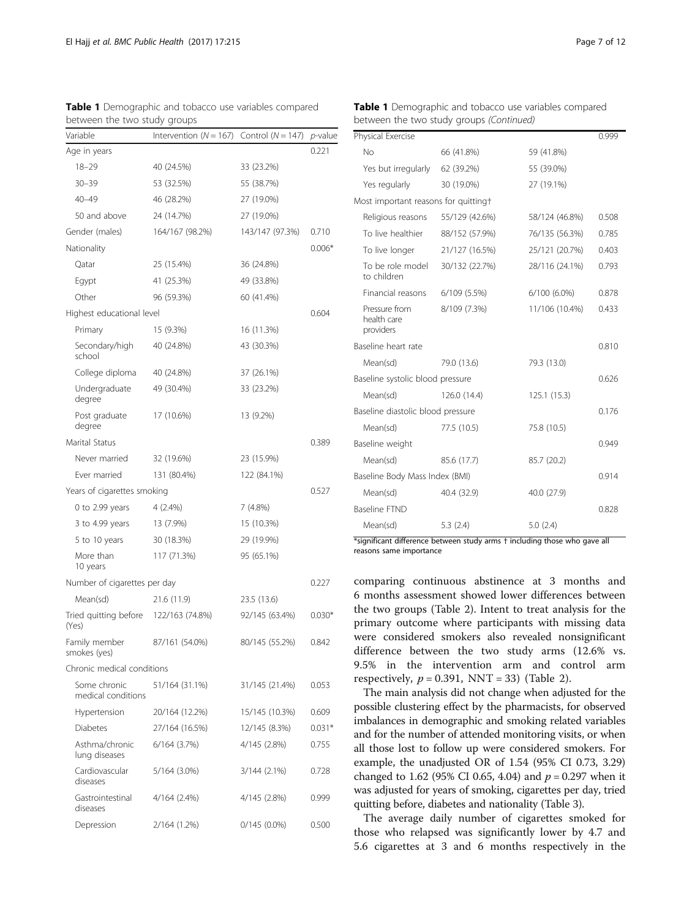| between the two study groups       |                          |                     |                 |  |  |  |
|------------------------------------|--------------------------|---------------------|-----------------|--|--|--|
| Variable                           | Intervention $(N = 167)$ | Control $(N = 147)$ | <i>p</i> -value |  |  |  |
| Age in years                       |                          |                     | 0.221           |  |  |  |
| $18 - 29$                          | 40 (24.5%)               | 33 (23.2%)          |                 |  |  |  |
| $30 - 39$                          | 53 (32.5%)               | 55 (38.7%)          |                 |  |  |  |
| $40 - 49$                          | 46 (28.2%)               | 27 (19.0%)          |                 |  |  |  |
| 50 and above                       | 24 (14.7%)               | 27 (19.0%)          |                 |  |  |  |
| Gender (males)                     | 164/167 (98.2%)          | 143/147 (97.3%)     | 0.710           |  |  |  |
| Nationality                        |                          |                     | $0.006*$        |  |  |  |
| Qatar                              | 25 (15.4%)               | 36 (24.8%)          |                 |  |  |  |
| Egypt                              | 41 (25.3%)               | 49 (33.8%)          |                 |  |  |  |
| Other                              | 96 (59.3%)               | 60 (41.4%)          |                 |  |  |  |
| Highest educational level          |                          |                     | 0.604           |  |  |  |
| Primary                            | 15 (9.3%)                | 16 (11.3%)          |                 |  |  |  |
| Secondary/high<br>school           | 40 (24.8%)               | 43 (30.3%)          |                 |  |  |  |
| College diploma                    | 40 (24.8%)               | 37 (26.1%)          |                 |  |  |  |
| Undergraduate<br>degree            | 49 (30.4%)               | 33 (23.2%)          |                 |  |  |  |
| Post graduate<br>degree            | 17 (10.6%)               | 13 (9.2%)           |                 |  |  |  |
| Marital Status                     |                          |                     | 0.389           |  |  |  |
| Never married                      | 32 (19.6%)               | 23 (15.9%)          |                 |  |  |  |
| Ever married                       | 131 (80.4%)              | 122 (84.1%)         |                 |  |  |  |
| Years of cigarettes smoking        |                          |                     | 0.527           |  |  |  |
| $0$ to 2.99 years                  | $4(2.4\%)$               | 7 (4.8%)            |                 |  |  |  |
| 3 to 4.99 years                    | 13 (7.9%)                | 15 (10.3%)          |                 |  |  |  |
| 5 to 10 years                      | 30 (18.3%)               | 29 (19.9%)          |                 |  |  |  |
| More than<br>10 years              | 117 (71.3%)              | 95 (65.1%)          |                 |  |  |  |
| Number of cigarettes per day       |                          |                     | 0.227           |  |  |  |
| Mean(sd)                           | 21.6 (11.9)              | 23.5 (13.6)         |                 |  |  |  |
| Tried quitting before<br>(Yes)     | 122/163 (74.8%)          | 92/145 (63.4%)      | $0.030*$        |  |  |  |
| Family member<br>smokes (yes)      | 87/161 (54.0%)           | 80/145 (55.2%)      | 0.842           |  |  |  |
| Chronic medical conditions         |                          |                     |                 |  |  |  |
| Some chronic<br>medical conditions | 51/164 (31.1%)           | 31/145 (21.4%)      | 0.053           |  |  |  |
| Hypertension                       | 20/164 (12.2%)           | 15/145 (10.3%)      | 0.609           |  |  |  |
| Diabetes                           | 27/164 (16.5%)           | 12/145 (8.3%)       | $0.031*$        |  |  |  |
| Asthma/chronic<br>lung diseases    | $6/164$ $(3.7%)$         | 4/145 (2.8%)        | 0.755           |  |  |  |
| Cardiovascular<br>diseases         | 5/164 (3.0%)             | 3/144 (2.1%)        | 0.728           |  |  |  |
| Gastrointestinal<br>diseases       | 4/164 (2.4%)             | 4/145 (2.8%)        | 0.999           |  |  |  |
| Depression                         | 2/164 (1.2%)             | $0/145(0.0\%)$      | 0.500           |  |  |  |

<span id="page-6-0"></span>

| Table 1 Demographic and tobacco use variables compared |  |
|--------------------------------------------------------|--|
| between the two study aroups                           |  |

#### Table 1 Demographic and tobacco use variables compared between the two study groups (Continued)

| Physical Exercise                 |                                           |                |                | 0.999 |
|-----------------------------------|-------------------------------------------|----------------|----------------|-------|
|                                   | No                                        | 66 (41.8%)     | 59 (41.8%)     |       |
|                                   | Yes but irregularly                       | 62 (39.2%)     | 55 (39.0%)     |       |
|                                   | Yes regularly                             | 30 (19.0%)     | 27 (19.1%)     |       |
|                                   | Most important reasons for quitting†      |                |                |       |
|                                   | Religious reasons                         | 55/129 (42.6%) | 58/124 (46.8%) | 0.508 |
|                                   | To live healthier                         | 88/152 (57.9%) | 76/135 (56.3%) | 0.785 |
|                                   | To live longer                            | 21/127 (16.5%) | 25/121 (20.7%) | 0.403 |
|                                   | To be role model<br>to children           | 30/132 (22.7%) | 28/116 (24.1%) | 0.793 |
|                                   | Financial reasons                         | 6/109 (5.5%)   | 6/100 (6.0%)   | 0.878 |
|                                   | Pressure from<br>health care<br>providers | 8/109 (7.3%)   | 11/106 (10.4%) | 0.433 |
|                                   | Baseline heart rate                       |                |                | 0.810 |
|                                   | Mean(sd)                                  | 79.0 (13.6)    | 79.3 (13.0)    |       |
| Baseline systolic blood pressure  |                                           |                | 0.626          |       |
|                                   | Mean(sd)                                  | 126.0 (14.4)   | 125.1 (15.3)   |       |
| Baseline diastolic blood pressure |                                           |                | 0.176          |       |
|                                   | Mean(sd)                                  | 77.5 (10.5)    | 75.8 (10.5)    |       |
|                                   | Baseline weight                           |                |                | 0.949 |
|                                   | Mean(sd)                                  | 85.6 (17.7)    | 85.7 (20.2)    |       |
|                                   | Baseline Body Mass Index (BMI)            |                |                | 0.914 |
|                                   | Mean(sd)                                  | 40.4 (32.9)    | 40.0 (27.9)    |       |
|                                   | <b>Baseline FTND</b>                      |                |                | 0.828 |
|                                   | Mean(sd)                                  | 5.3(2.4)       | 5.0(2.4)       |       |

\*significant difference between study arms † including those who gave all reasons same importance

comparing continuous abstinence at 3 months and 6 months assessment showed lower differences between the two groups (Table [2\)](#page-7-0). Intent to treat analysis for the primary outcome where participants with missing data were considered smokers also revealed nonsignificant difference between the two study arms (12.6% vs. 9.5% in the intervention arm and control arm respectively,  $p = 0.391$ , NNT = 33) (Table [2\)](#page-7-0).

The main analysis did not change when adjusted for the possible clustering effect by the pharmacists, for observed imbalances in demographic and smoking related variables and for the number of attended monitoring visits, or when all those lost to follow up were considered smokers. For example, the unadjusted OR of 1.54 (95% CI 0.73, 3.29) changed to 1.62 (95% CI 0.65, 4.04) and  $p = 0.297$  when it was adjusted for years of smoking, cigarettes per day, tried quitting before, diabetes and nationality (Table [3](#page-7-0)).

The average daily number of cigarettes smoked for those who relapsed was significantly lower by 4.7 and 5.6 cigarettes at 3 and 6 months respectively in the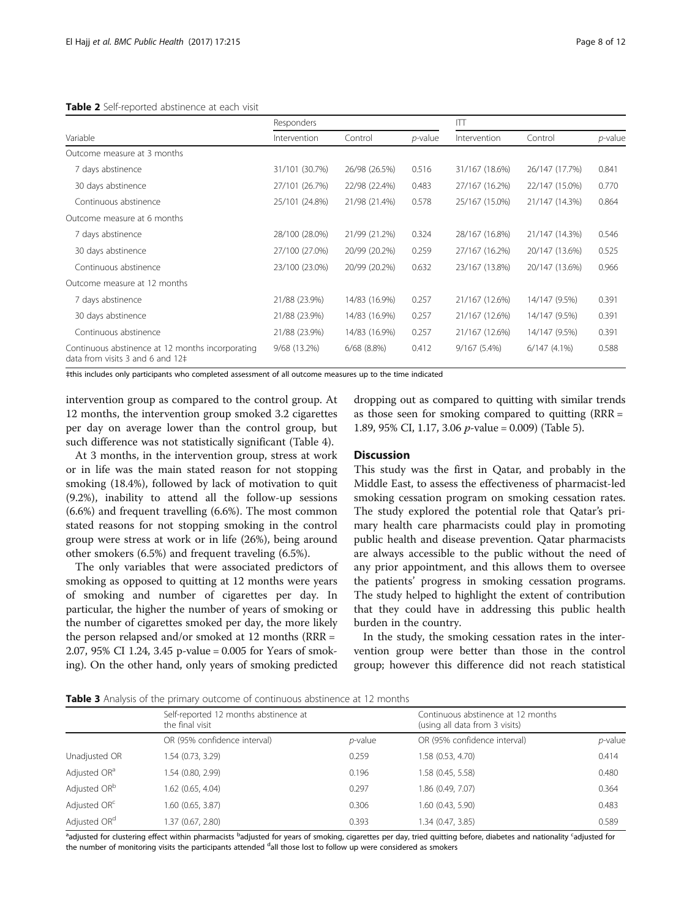#### <span id="page-7-0"></span>Table 2 Self-reported abstinence at each visit

|                                                                                      | Responders     |                  | $\Box$          |                |                |         |
|--------------------------------------------------------------------------------------|----------------|------------------|-----------------|----------------|----------------|---------|
| Variable                                                                             | Intervention   | Control          | <i>p</i> -value | Intervention   | Control        | p-value |
| Outcome measure at 3 months                                                          |                |                  |                 |                |                |         |
| 7 days abstinence                                                                    | 31/101 (30.7%) | 26/98 (26.5%)    | 0.516           | 31/167 (18.6%) | 26/147 (17.7%) | 0.841   |
| 30 days abstinence                                                                   | 27/101 (26.7%) | 22/98 (22.4%)    | 0.483           | 27/167 (16.2%) | 22/147 (15.0%) | 0.770   |
| Continuous abstinence                                                                | 25/101 (24.8%) | 21/98 (21.4%)    | 0.578           | 25/167 (15.0%) | 21/147 (14.3%) | 0.864   |
| Outcome measure at 6 months                                                          |                |                  |                 |                |                |         |
| 7 days abstinence                                                                    | 28/100 (28.0%) | 21/99 (21.2%)    | 0.324           | 28/167 (16.8%) | 21/147 (14.3%) | 0.546   |
| 30 days abstinence                                                                   | 27/100 (27.0%) | 20/99 (20.2%)    | 0.259           | 27/167 (16.2%) | 20/147 (13.6%) | 0.525   |
| Continuous abstinence                                                                | 23/100 (23.0%) | 20/99 (20.2%)    | 0.632           | 23/167 (13.8%) | 20/147 (13.6%) | 0.966   |
| Outcome measure at 12 months                                                         |                |                  |                 |                |                |         |
| 7 days abstinence                                                                    | 21/88 (23.9%)  | 14/83 (16.9%)    | 0.257           | 21/167 (12.6%) | 14/147 (9.5%)  | 0.391   |
| 30 days abstinence                                                                   | 21/88 (23.9%)  | 14/83 (16.9%)    | 0.257           | 21/167 (12.6%) | 14/147 (9.5%)  | 0.391   |
| Continuous abstinence                                                                | 21/88 (23.9%)  | 14/83 (16.9%)    | 0.257           | 21/167 (12.6%) | 14/147 (9.5%)  | 0.391   |
| Continuous abstinence at 12 months incorporating<br>data from visits 3 and 6 and 12‡ | 9/68 (13.2%)   | $6/68$ $(8.8\%)$ | 0.412           | 9/167 (5.4%)   | 6/147(4.1%)    | 0.588   |

‡this includes only participants who completed assessment of all outcome measures up to the time indicated

intervention group as compared to the control group. At 12 months, the intervention group smoked 3.2 cigarettes per day on average lower than the control group, but such difference was not statistically significant (Table [4](#page-8-0)).

At 3 months, in the intervention group, stress at work or in life was the main stated reason for not stopping smoking (18.4%), followed by lack of motivation to quit (9.2%), inability to attend all the follow-up sessions (6.6%) and frequent travelling (6.6%). The most common stated reasons for not stopping smoking in the control group were stress at work or in life (26%), being around other smokers (6.5%) and frequent traveling (6.5%).

The only variables that were associated predictors of smoking as opposed to quitting at 12 months were years of smoking and number of cigarettes per day. In particular, the higher the number of years of smoking or the number of cigarettes smoked per day, the more likely the person relapsed and/or smoked at 12 months (RRR = 2.07, 95% CI 1.24, 3.45 p-value = 0.005 for Years of smoking). On the other hand, only years of smoking predicted

dropping out as compared to quitting with similar trends as those seen for smoking compared to quitting (RRR = 1.89, 95% CI, 1.17, 3.06 p-value = 0.009) (Table [5\)](#page-8-0).

#### **Discussion**

This study was the first in Qatar, and probably in the Middle East, to assess the effectiveness of pharmacist-led smoking cessation program on smoking cessation rates. The study explored the potential role that Qatar's primary health care pharmacists could play in promoting public health and disease prevention. Qatar pharmacists are always accessible to the public without the need of any prior appointment, and this allows them to oversee the patients' progress in smoking cessation programs. The study helped to highlight the extent of contribution that they could have in addressing this public health burden in the country.

In the study, the smoking cessation rates in the intervention group were better than those in the control group; however this difference did not reach statistical

Table 3 Analysis of the primary outcome of continuous abstinence at 12 months

| Self-reported 12 months abstinence at<br>Continuous abstinence at 12 months |            |
|-----------------------------------------------------------------------------|------------|
| the final visit<br>(using all data from 3 visits)                           |            |
| OR (95% confidence interval)<br>OR (95% confidence interval)<br>$p$ -value  | $p$ -value |
| Unadjusted OR<br>1.54 (0.73, 3.29)<br>1.58 (0.53, 4.70)<br>0.259            | 0.414      |
| Adjusted OR <sup>a</sup><br>1.54 (0.80, 2.99)<br>1.58 (0.45, 5.58)<br>0.196 | 0.480      |
| Adjusted OR <sup>b</sup><br>1.62 (0.65, 4.04)<br>1.86 (0.49, 7.07)<br>0.297 | 0.364      |
| Adjusted OR <sup>c</sup><br>1.60 (0.65, 3.87)<br>1.60 (0.43, 5.90)<br>0.306 | 0.483      |
| Adjusted OR <sup>d</sup><br>1.37 (0.67, 2.80)<br>.34(0.47, 3.85)<br>0.393   | 0.589      |

<sup>a</sup>adjusted for clustering effect within pharmacists <sup>b</sup>adjusted for years of smoking, cigarettes per day, tried quitting before, diabetes and nationality <sup>c</sup>adjusted for the number of monitoring visits the participants attended <sup>d</sup>all those lost to follow up were considered as smokers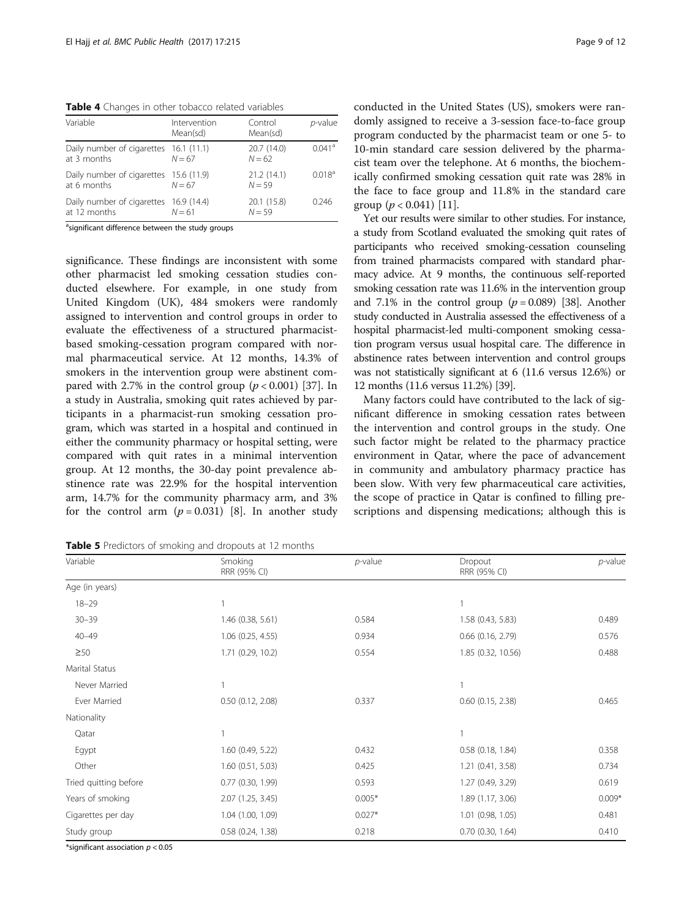<span id="page-8-0"></span>Table 4 Changes in other tobacco related variables

| Variable                                               | Intervention<br>Mean(sd) | Control<br>Mean(sd)     | $p$ -value           |
|--------------------------------------------------------|--------------------------|-------------------------|----------------------|
| Daily number of cigarettes 16.1 (11.1)<br>at 3 months  | $N = 67$                 | 20.7 (14.0)<br>$N = 62$ | $0.041$ <sup>a</sup> |
| Daily number of cigarettes 15.6 (11.9)<br>at 6 months  | $N = 67$                 | 21.2(14.1)<br>$N = 59$  | 0.018 <sup>a</sup>   |
| Daily number of cigarettes 16.9 (14.4)<br>at 12 months | $N = 61$                 | 20.1 (15.8)<br>$N = 59$ | 0.246                |

asignificant difference between the study groups

significance. These findings are inconsistent with some other pharmacist led smoking cessation studies conducted elsewhere. For example, in one study from United Kingdom (UK), 484 smokers were randomly assigned to intervention and control groups in order to evaluate the effectiveness of a structured pharmacistbased smoking-cessation program compared with normal pharmaceutical service. At 12 months, 14.3% of smokers in the intervention group were abstinent compared with 2.7% in the control group  $(p < 0.001)$  [\[37](#page-11-0)]. In a study in Australia, smoking quit rates achieved by participants in a pharmacist-run smoking cessation program, which was started in a hospital and continued in either the community pharmacy or hospital setting, were compared with quit rates in a minimal intervention group. At 12 months, the 30-day point prevalence abstinence rate was 22.9% for the hospital intervention arm, 14.7% for the community pharmacy arm, and 3% for the control arm  $(p = 0.031)$  [\[8](#page-11-0)]. In another study

Table 5 Predictors of smoking and dropouts at 12 months

conducted in the United States (US), smokers were randomly assigned to receive a 3-session face-to-face group program conducted by the pharmacist team or one 5- to 10-min standard care session delivered by the pharmacist team over the telephone. At 6 months, the biochemically confirmed smoking cessation quit rate was 28% in the face to face group and 11.8% in the standard care group  $(p < 0.041)$  [\[11](#page-11-0)].

Yet our results were similar to other studies. For instance, a study from Scotland evaluated the smoking quit rates of participants who received smoking-cessation counseling from trained pharmacists compared with standard pharmacy advice. At 9 months, the continuous self-reported smoking cessation rate was 11.6% in the intervention group and 7.1% in the control group  $(p = 0.089)$  [\[38\]](#page-11-0). Another study conducted in Australia assessed the effectiveness of a hospital pharmacist-led multi-component smoking cessation program versus usual hospital care. The difference in abstinence rates between intervention and control groups was not statistically significant at 6 (11.6 versus 12.6%) or 12 months (11.6 versus 11.2%) [\[39\]](#page-11-0).

Many factors could have contributed to the lack of significant difference in smoking cessation rates between the intervention and control groups in the study. One such factor might be related to the pharmacy practice environment in Qatar, where the pace of advancement in community and ambulatory pharmacy practice has been slow. With very few pharmaceutical care activities, the scope of practice in Qatar is confined to filling prescriptions and dispensing medications; although this is

| Variable              | Smoking<br>RRR (95% CI) | $p$ -value | Dropout<br>RRR (95% CI) | $p$ -value |
|-----------------------|-------------------------|------------|-------------------------|------------|
| Age (in years)        |                         |            |                         |            |
| $18 - 29$             |                         |            |                         |            |
| $30 - 39$             | 1.46 (0.38, 5.61)       | 0.584      | 1.58 (0.43, 5.83)       | 0.489      |
| $40 - 49$             | $1.06$ (0.25, 4.55)     | 0.934      | $0.66$ $(0.16, 2.79)$   | 0.576      |
| $\geq$ 50             | 1.71 (0.29, 10.2)       | 0.554      | 1.85 (0.32, 10.56)      | 0.488      |
| Marital Status        |                         |            |                         |            |
| Never Married         |                         |            |                         |            |
| Ever Married          | $0.50$ $(0.12, 2.08)$   | 0.337      | $0.60$ $(0.15, 2.38)$   | 0.465      |
| Nationality           |                         |            |                         |            |
| Qatar                 |                         |            |                         |            |
| Egypt                 | $1.60$ (0.49, 5.22)     | 0.432      | $0.58$ $(0.18, 1.84)$   | 0.358      |
| Other                 | 1.60(0.51, 5.03)        | 0.425      | 1.21(0.41, 3.58)        | 0.734      |
| Tried quitting before | $0.77$ $(0.30, 1.99)$   | 0.593      | 1.27 (0.49, 3.29)       | 0.619      |
| Years of smoking      | 2.07 (1.25, 3.45)       | $0.005*$   | 1.89 (1.17, 3.06)       | $0.009*$   |
| Cigarettes per day    | 1.04 (1.00, 1.09)       | $0.027*$   | $1.01$ (0.98, 1.05)     | 0.481      |
| Study group           | $0.58$ $(0.24, 1.38)$   | 0.218      | $0.70$ $(0.30, 1.64)$   | 0.410      |

\*significant association  $p < 0.05$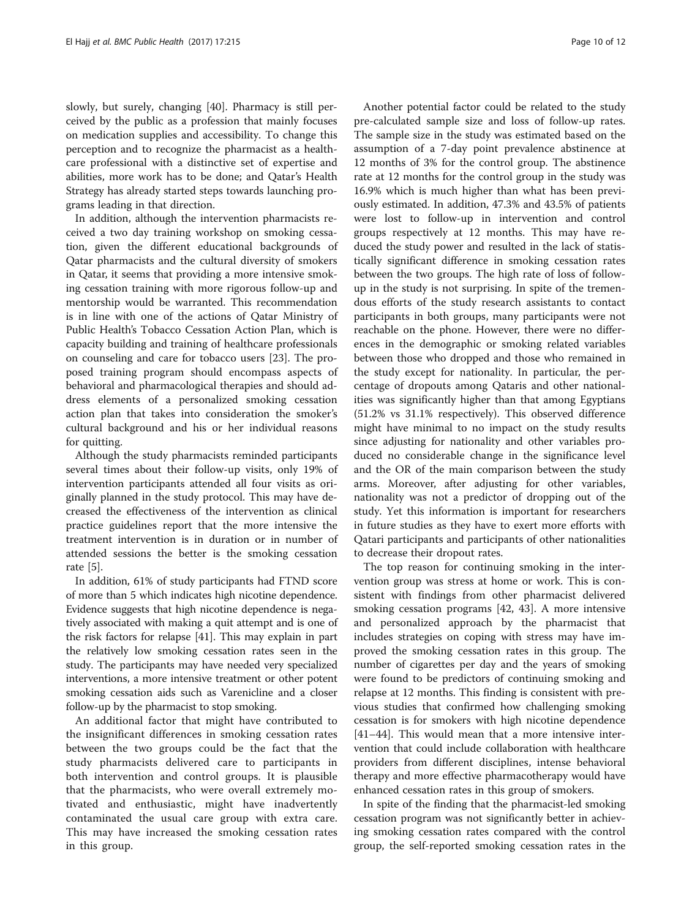slowly, but surely, changing [[40\]](#page-11-0). Pharmacy is still perceived by the public as a profession that mainly focuses on medication supplies and accessibility. To change this perception and to recognize the pharmacist as a healthcare professional with a distinctive set of expertise and abilities, more work has to be done; and Qatar's Health Strategy has already started steps towards launching programs leading in that direction.

In addition, although the intervention pharmacists received a two day training workshop on smoking cessation, given the different educational backgrounds of Qatar pharmacists and the cultural diversity of smokers in Qatar, it seems that providing a more intensive smoking cessation training with more rigorous follow-up and mentorship would be warranted. This recommendation is in line with one of the actions of Qatar Ministry of Public Health's Tobacco Cessation Action Plan, which is capacity building and training of healthcare professionals on counseling and care for tobacco users [[23\]](#page-11-0). The proposed training program should encompass aspects of behavioral and pharmacological therapies and should address elements of a personalized smoking cessation action plan that takes into consideration the smoker's cultural background and his or her individual reasons for quitting.

Although the study pharmacists reminded participants several times about their follow-up visits, only 19% of intervention participants attended all four visits as originally planned in the study protocol. This may have decreased the effectiveness of the intervention as clinical practice guidelines report that the more intensive the treatment intervention is in duration or in number of attended sessions the better is the smoking cessation rate [\[5](#page-11-0)].

In addition, 61% of study participants had FTND score of more than 5 which indicates high nicotine dependence. Evidence suggests that high nicotine dependence is negatively associated with making a quit attempt and is one of the risk factors for relapse [[41](#page-11-0)]. This may explain in part the relatively low smoking cessation rates seen in the study. The participants may have needed very specialized interventions, a more intensive treatment or other potent smoking cessation aids such as Varenicline and a closer follow-up by the pharmacist to stop smoking.

An additional factor that might have contributed to the insignificant differences in smoking cessation rates between the two groups could be the fact that the study pharmacists delivered care to participants in both intervention and control groups. It is plausible that the pharmacists, who were overall extremely motivated and enthusiastic, might have inadvertently contaminated the usual care group with extra care. This may have increased the smoking cessation rates in this group.

Another potential factor could be related to the study pre-calculated sample size and loss of follow-up rates. The sample size in the study was estimated based on the assumption of a 7-day point prevalence abstinence at 12 months of 3% for the control group. The abstinence rate at 12 months for the control group in the study was 16.9% which is much higher than what has been previously estimated. In addition, 47.3% and 43.5% of patients were lost to follow-up in intervention and control groups respectively at 12 months. This may have reduced the study power and resulted in the lack of statistically significant difference in smoking cessation rates between the two groups. The high rate of loss of followup in the study is not surprising. In spite of the tremendous efforts of the study research assistants to contact participants in both groups, many participants were not reachable on the phone. However, there were no differences in the demographic or smoking related variables between those who dropped and those who remained in the study except for nationality. In particular, the percentage of dropouts among Qataris and other nationalities was significantly higher than that among Egyptians (51.2% vs 31.1% respectively). This observed difference might have minimal to no impact on the study results since adjusting for nationality and other variables produced no considerable change in the significance level and the OR of the main comparison between the study arms. Moreover, after adjusting for other variables, nationality was not a predictor of dropping out of the study. Yet this information is important for researchers in future studies as they have to exert more efforts with Qatari participants and participants of other nationalities to decrease their dropout rates.

The top reason for continuing smoking in the intervention group was stress at home or work. This is consistent with findings from other pharmacist delivered smoking cessation programs [[42](#page-11-0), [43](#page-11-0)]. A more intensive and personalized approach by the pharmacist that includes strategies on coping with stress may have improved the smoking cessation rates in this group. The number of cigarettes per day and the years of smoking were found to be predictors of continuing smoking and relapse at 12 months. This finding is consistent with previous studies that confirmed how challenging smoking cessation is for smokers with high nicotine dependence [[41](#page-11-0)–[44](#page-11-0)]. This would mean that a more intensive intervention that could include collaboration with healthcare providers from different disciplines, intense behavioral therapy and more effective pharmacotherapy would have enhanced cessation rates in this group of smokers.

In spite of the finding that the pharmacist-led smoking cessation program was not significantly better in achieving smoking cessation rates compared with the control group, the self-reported smoking cessation rates in the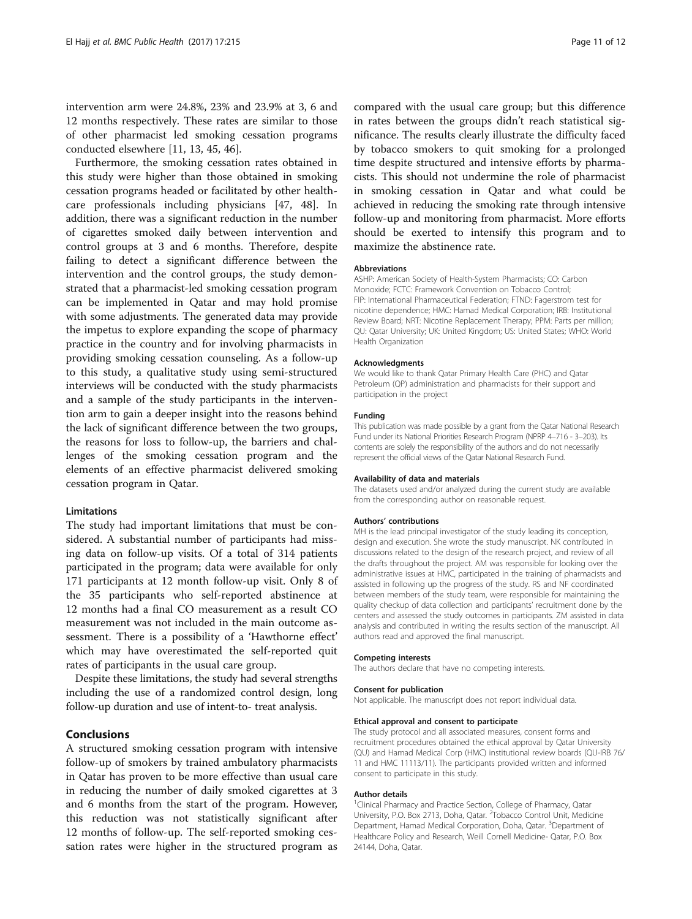intervention arm were 24.8%, 23% and 23.9% at 3, 6 and 12 months respectively. These rates are similar to those of other pharmacist led smoking cessation programs conducted elsewhere [\[11](#page-11-0), [13, 45, 46\]](#page-11-0).

Furthermore, the smoking cessation rates obtained in this study were higher than those obtained in smoking cessation programs headed or facilitated by other healthcare professionals including physicians [[47](#page-11-0), [48\]](#page-11-0). In addition, there was a significant reduction in the number of cigarettes smoked daily between intervention and control groups at 3 and 6 months. Therefore, despite failing to detect a significant difference between the intervention and the control groups, the study demonstrated that a pharmacist-led smoking cessation program can be implemented in Qatar and may hold promise with some adjustments. The generated data may provide the impetus to explore expanding the scope of pharmacy practice in the country and for involving pharmacists in providing smoking cessation counseling. As a follow-up to this study, a qualitative study using semi-structured interviews will be conducted with the study pharmacists and a sample of the study participants in the intervention arm to gain a deeper insight into the reasons behind the lack of significant difference between the two groups, the reasons for loss to follow-up, the barriers and challenges of the smoking cessation program and the elements of an effective pharmacist delivered smoking cessation program in Qatar.

#### **Limitations**

The study had important limitations that must be considered. A substantial number of participants had missing data on follow-up visits. Of a total of 314 patients participated in the program; data were available for only 171 participants at 12 month follow-up visit. Only 8 of the 35 participants who self-reported abstinence at 12 months had a final CO measurement as a result CO measurement was not included in the main outcome assessment. There is a possibility of a 'Hawthorne effect' which may have overestimated the self-reported quit rates of participants in the usual care group.

Despite these limitations, the study had several strengths including the use of a randomized control design, long follow-up duration and use of intent-to- treat analysis.

#### Conclusions

A structured smoking cessation program with intensive follow-up of smokers by trained ambulatory pharmacists in Qatar has proven to be more effective than usual care in reducing the number of daily smoked cigarettes at 3 and 6 months from the start of the program. However, this reduction was not statistically significant after 12 months of follow-up. The self-reported smoking cessation rates were higher in the structured program as compared with the usual care group; but this difference in rates between the groups didn't reach statistical significance. The results clearly illustrate the difficulty faced by tobacco smokers to quit smoking for a prolonged time despite structured and intensive efforts by pharmacists. This should not undermine the role of pharmacist in smoking cessation in Qatar and what could be achieved in reducing the smoking rate through intensive follow-up and monitoring from pharmacist. More efforts should be exerted to intensify this program and to maximize the abstinence rate.

#### Abbreviations

ASHP: American Society of Health-System Pharmacists; CO: Carbon Monoxide; FCTC: Framework Convention on Tobacco Control; FIP: International Pharmaceutical Federation; FTND: Fagerstrom test for nicotine dependence; HMC: Hamad Medical Corporation; IRB: Institutional Review Board; NRT: Nicotine Replacement Therapy; PPM: Parts per million; QU: Qatar University; UK: United Kingdom; US: United States; WHO: World Health Organization

#### Acknowledgments

We would like to thank Qatar Primary Health Care (PHC) and Qatar Petroleum (QP) administration and pharmacists for their support and participation in the project

#### Funding

This publication was made possible by a grant from the Qatar National Research Fund under its National Priorities Research Program (NPRP 4–716 - 3–203). Its contents are solely the responsibility of the authors and do not necessarily represent the official views of the Qatar National Research Fund.

#### Availability of data and materials

The datasets used and/or analyzed during the current study are available from the corresponding author on reasonable request.

#### Authors' contributions

MH is the lead principal investigator of the study leading its conception, design and execution. She wrote the study manuscript. NK contributed in discussions related to the design of the research project, and review of all the drafts throughout the project. AM was responsible for looking over the administrative issues at HMC, participated in the training of pharmacists and assisted in following up the progress of the study. RS and NF coordinated between members of the study team, were responsible for maintaining the quality checkup of data collection and participants' recruitment done by the centers and assessed the study outcomes in participants. ZM assisted in data analysis and contributed in writing the results section of the manuscript. All authors read and approved the final manuscript.

#### Competing interests

Consent for publication

The authors declare that have no competing interests.

#### Not applicable. The manuscript does not report individual data.

#### Ethical approval and consent to participate

The study protocol and all associated measures, consent forms and recruitment procedures obtained the ethical approval by Qatar University (QU) and Hamad Medical Corp (HMC) institutional review boards (QU-IRB 76/ 11 and HMC 11113/11). The participants provided written and informed consent to participate in this study.

#### Author details

<sup>1</sup> Clinical Pharmacy and Practice Section, College of Pharmacy, Qatar University, P.O. Box 2713, Doha, Qatar. <sup>2</sup>Tobacco Control Unit, Medicine Department, Hamad Medical Corporation, Doha, Qatar. <sup>3</sup>Department of Healthcare Policy and Research, Weill Cornell Medicine- Qatar, P.O. Box 24144, Doha, Qatar.